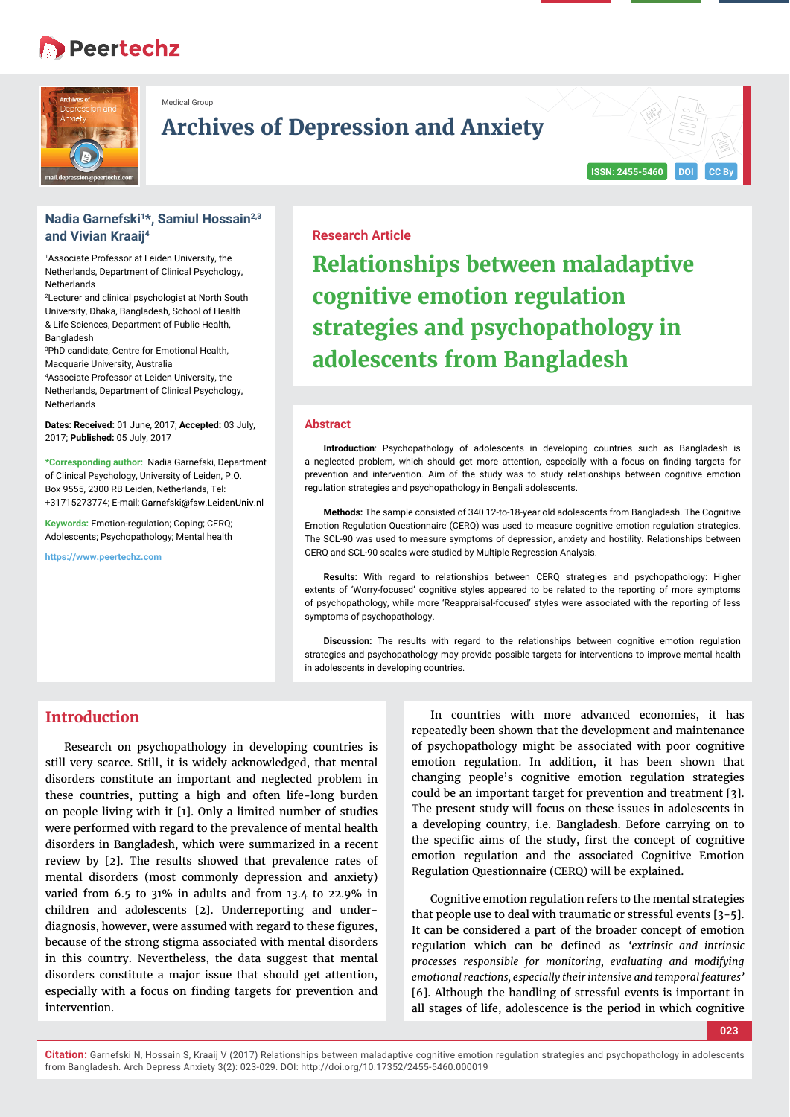# **B** Peertechz



Medical Group

# **Archives of Depression and Anxiety**

# **Nadia Garnefski1\*, Samiul Hossain2,3 and Vivian Kraaij4**

1 Associate Professor at Leiden University, the Netherlands, Department of Clinical Psychology, **Netherlands** 

2 Lecturer and clinical psychologist at North South University, Dhaka, Bangladesh, School of Health & Life Sciences, Department of Public Health, Bangladesh

3 PhD candidate, Centre for Emotional Health, Macquarie University, Australia

4 Associate Professor at Leiden University, the Netherlands, Department of Clinical Psychology, **Netherlands** 

**Dates: Received:** 01 June, 2017; **Accepted:** 03 July, 2017; **Published:** 05 July, 2017

**\*Corresponding author:** Nadia Garnefski, Department of Clinical Psychology, University of Leiden, P.O. Box 9555, 2300 RB Leiden, Netherlands, Tel: +31715273774; E-mail:

**Keywords:** Emotion-regulation; Coping; CERQ; Adolescents; Psychopathology; Mental health

**https://www.peertechz.com**

# **Research Article**

**Relationships between maladaptive cognitive emotion regulation strategies and psychopathology in adolescents from Bangladesh**

**ISSN: 2455-5460 DOI CC By**

#### **Abstract**

**Introduction**: Psychopathology of adolescents in developing countries such as Bangladesh is a neglected problem, which should get more attention, especially with a focus on finding targets for prevention and intervention. Aim of the study was to study relationships between cognitive emotion regulation strategies and psychopathology in Bengali adolescents.

**Methods:** The sample consisted of 340 12-to-18-year old adolescents from Bangladesh. The Cognitive Emotion Regulation Questionnaire (CERQ) was used to measure cognitive emotion regulation strategies. The SCL-90 was used to measure symptoms of depression, anxiety and hostility. Relationships between CERQ and SCL-90 scales were studied by Multiple Regression Analysis.

**Results:** With regard to relationships between CERQ strategies and psychopathology: Higher extents of 'Worry-focused' cognitive styles appeared to be related to the reporting of more symptoms of psychopathology, while more 'Reappraisal-focused' styles were associated with the reporting of less symptoms of psychopathology.

**Discussion:** The results with regard to the relationships between cognitive emotion regulation strategies and psychopathology may provide possible targets for interventions to improve mental health in adolescents in developing countries.

# **Introduction**

Research on psychopathology in developing countries is still very scarce. Still, it is widely acknowledged, that mental disorders constitute an important and neglected problem in these countries, putting a high and often life-long burden on people living with it [1]. Only a limited number of studies were performed with regard to the prevalence of mental health disorders in Bangladesh, which were summarized in a recent review by [2]. The results showed that prevalence rates of mental disorders (most commonly depression and anxiety) varied from 6.5 to 31% in adults and from 13.4 to 22.9% in children and adolescents [2]. Underreporting and underdiagnosis, however, were assumed with regard to these figures, because of the strong stigma associated with mental disorders in this country. Nevertheless, the data suggest that mental disorders constitute a major issue that should get attention, especially with a focus on finding targets for prevention and intervention.

In countries with more advanced economies, it has repeatedly been shown that the development and maintenance of psychopathology might be associated with poor cognitive emotion regulation. In addition, it has been shown that changing people's cognitive emotion regulation strategies could be an important target for prevention and treatment [3]. The present study will focus on these issues in adolescents in a developing country, i.e. Bangladesh. Before carrying on to the specific aims of the study, first the concept of cognitive emotion regulation and the associated Cognitive Emotion Regulation Questionnaire (CERQ) will be explained.

Cognitive emotion regulation refers to the mental strategies that people use to deal with traumatic or stressful events [3-5]. It can be considered a part of the broader concept of emotion regulation which can be defined as 'extrinsic and intrinsic *processes responsible for monitoring, evaluating and modifying emotional reactions, especially their intensive and temporal features'*  [6]. Although the handling of stressful events is important in all stages of life, adolescence is the period in which cognitive

**023**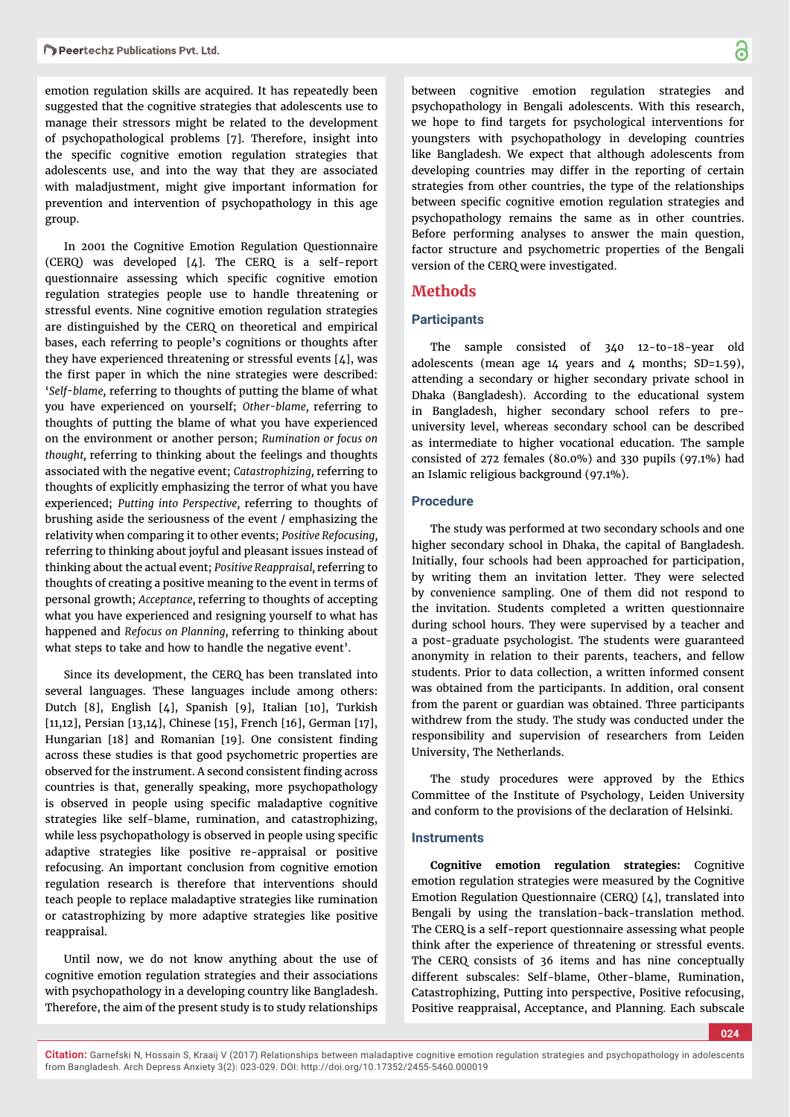emotion regulation skills are acquired. It has repeatedly been suggested that the cognitive strategies that adolescents use to manage their stressors might be related to the development of psychopathological problems [7]. Therefore, insight into the specific cognitive emotion regulation strategies that adolescents use, and into the way that they are associated with maladjustment, might give important information for prevention and intervention of psychopathology in this age group.

In 2001 the Cognitive Emotion Regulation Questionnaire (CERQ) was developed [4]. The CERQ is a self-report questionnaire assessing which specific cognitive emotion regulation strategies people use to handle threatening or stressful events. Nine cognitive emotion regulation strategies are distinguished by the CERQ on theoretical and empirical bases, each referring to people's cognitions or thoughts after they have experienced threatening or stressful events [4], was the first paper in which the nine strategies were described: '*Self-blame,* referring to thoughts of putting the blame of what you have experienced on yourself; *Other-blame,* referring to thoughts of putting the blame of what you have experienced on the environment or another person; *Rumination or focus on thought,* referring to thinking about the feelings and thoughts associated with the negative event; *Catastrophizing,* referring to thoughts of explicitly emphasizing the terror of what you have experienced; *Putting into Perspective,* referring to thoughts of brushing aside the seriousness of the event / emphasizing the relativity when comparing it to other events; *Positive Refocusing,*  referring to thinking about joyful and pleasant issues instead of thinking about the actual event; *Positive Reappraisal,* referring to thoughts of creating a positive meaning to the event in terms of personal growth; *Acceptance,* referring to thoughts of accepting what you have experienced and resigning yourself to what has happened and *Refocus on Planning,* referring to thinking about what steps to take and how to handle the negative event'.

Since its development, the CERQ has been translated into several languages. These languages include among others: Dutch [8], English [4], Spanish [9], Italian [10], Turkish [11,12], Persian [13,14], Chinese [15], French [16], German [17], Hungarian [18] and Romanian [19]. One consistent finding across these studies is that good psychometric properties are observed for the instrument. A second consistent finding across countries is that, generally speaking, more psychopathology is observed in people using specific maladaptive cognitive strategies like self-blame, rumination, and catastrophizing, while less psychopathology is observed in people using specific adaptive strategies like positive re-appraisal or positive refocusing. An important conclusion from cognitive emotion regulation research is therefore that interventions should teach people to replace maladaptive strategies like rumination or catastrophizing by more adaptive strategies like positive reappraisal.

Until now, we do not know anything about the use of cognitive emotion regulation strategies and their associations with psychopathology in a developing country like Bangladesh. Therefore, the aim of the present study is to study relationships

between cognitive emotion regulation strategies and psychopathology in Bengali adolescents. With this research, we hope to find targets for psychological interventions for youngsters with psychopathology in developing countries like Bangladesh. We expect that although adolescents from developing countries may differ in the reporting of certain strategies from other countries, the type of the relationships between specific cognitive emotion regulation strategies and psychopathology remains the same as in other countries. Before performing analyses to answer the main question, factor structure and psychometric properties of the Bengali version of the CERQ were investigated.

# **Methods**

### **Participants**

The sample consisted of 340 12-to-18-year old adolescents (mean age  $14$  years and  $4$  months; SD=1.59), attending a secondary or higher secondary private school in Dhaka (Bangladesh). According to the educational system in Bangladesh, higher secondary school refers to preuniversity level, whereas secondary school can be described as intermediate to higher vocational education. The sample consisted of 272 females (80.0%) and 330 pupils (97.1%) had an Islamic religious background (97.1%).

## **Procedure**

The study was performed at two secondary schools and one higher secondary school in Dhaka, the capital of Bangladesh. Initially, four schools had been approached for participation, by writing them an invitation letter. They were selected by convenience sampling. One of them did not respond to the invitation. Students completed a written questionnaire during school hours. They were supervised by a teacher and a post-graduate psychologist. The students were guaranteed anonymity in relation to their parents, teachers, and fellow students. Prior to data collection, a written informed consent was obtained from the participants. In addition, oral consent from the parent or guardian was obtained. Three participants withdrew from the study. The study was conducted under the responsibility and supervision of researchers from Leiden University, The Netherlands.

The study procedures were approved by the Ethics Committee of the Institute of Psychology, Leiden University and conform to the provisions of the declaration of Helsinki.

### **Instruments**

**Cognitive emotion regulation strategies:** Cognitive emotion regulation strategies were measured by the Cognitive Emotion Regulation Questionnaire (CERQ) [4], translated into Bengali by using the translation-back-translation method. The CERQ is a self-report questionnaire assessing what people think after the experience of threatening or stressful events. The CERQ consists of 36 items and has nine conceptually different subscales: Self-blame, Other-blame, Rumination, Catastrophizing, Putting into perspective, Positive refocusing, Positive reappraisal, Acceptance, and Planning*.* Each subscale

**Citation:** Garnefski N, Hossain S, Kraaij V (2017) Relationships between maladaptive cognitive emotion regulation strategies and psychopathology in adolescents from Bangladesh. Arch Depress Anxiety 3(2): 023-029. DOI: http://doi.org/10.17352/2455-5460.000019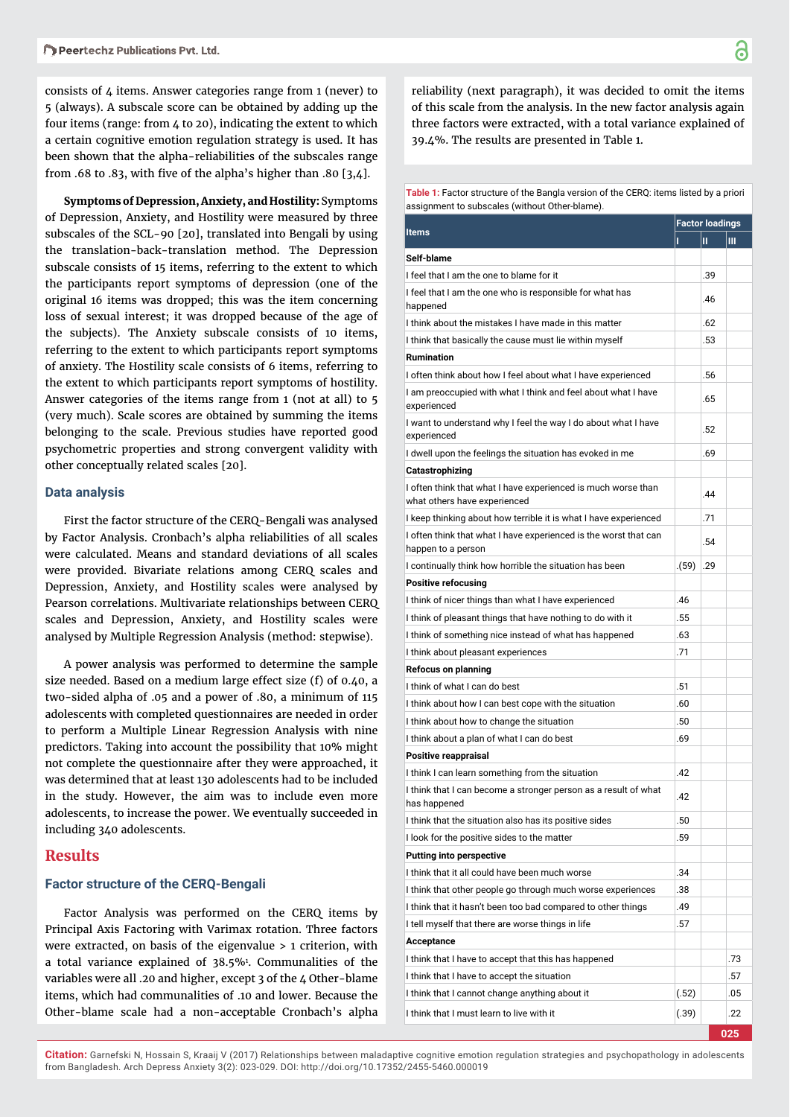consists of 4 items. Answer categories range from 1 (never) to 5 (always). A subscale score can be obtained by adding up the four items (range: from 4 to 20), indicating the extent to which a certain cognitive emotion regulation strategy is used. It has been shown that the alpha-reliabilities of the subscales range from .68 to .83, with five of the alpha's higher than .80  $[3,4]$ .

**Symptoms of Depression, Anxiety, and Hostility:** Symptoms of Depression, Anxiety, and Hostility were measured by three subscales of the SCL-90 [20], translated into Bengali by using the translation-back-translation method. The Depression subscale consists of 15 items, referring to the extent to which the participants report symptoms of depression (one of the original 16 items was dropped; this was the item concerning loss of sexual interest; it was dropped because of the age of the subjects). The Anxiety subscale consists of 10 items, referring to the extent to which participants report symptoms of anxiety. The Hostility scale consists of 6 items, referring to the extent to which participants report symptoms of hostility. Answer categories of the items range from 1 (not at all) to 5 (very much). Scale scores are obtained by summing the items belonging to the scale. Previous studies have reported good psychometric properties and strong convergent validity with other conceptually related scales [20].

# **Data analysis**

First the factor structure of the CERQ-Bengali was analysed by Factor Analysis. Cronbach's alpha reliabilities of all scales were calculated. Means and standard deviations of all scales were provided. Bivariate relations among CERQ scales and Depression, Anxiety, and Hostility scales were analysed by Pearson correlations. Multivariate relationships between CERQ scales and Depression, Anxiety, and Hostility scales were analysed by Multiple Regression Analysis (method: stepwise).

A power analysis was performed to determine the sample size needed. Based on a medium large effect size (f) of 0.40, a two-sided alpha of .05 and a power of .80, a minimum of 115 adolescents with completed questionnaires are needed in order to perform a Multiple Linear Regression Analysis with nine predictors. Taking into account the possibility that 10% might not complete the questionnaire after they were approached, it was determined that at least 130 adolescents had to be included in the study. However, the aim was to include even more adolescents, to increase the power. We eventually succeeded in including 340 adolescents.

## **Results**

#### **Factor structure of the CERQ-Bengali**

Factor Analysis was performed on the CERQ items by Principal Axis Factoring with Varimax rotation. Three factors were extracted, on basis of the eigenvalue > 1 criterion, with a total variance explained of 38.5%1 . Communalities of the variables were all .20 and higher, except 3 of the 4 Other-blame items, which had communalities of .10 and lower. Because the Other-blame scale had a non-acceptable Cronbach's alpha

reliability (next paragraph), it was decided to omit the items of this scale from the analysis. In the new factor analysis again three factors were extracted, with a total variance explained of 39.4%. The results are presented in Table 1.

#### **Table 1:** Factor structure of the Bangla version of the CERQ: items listed by a priori assignment to subscales (without Other-blame).

|                                                                                               |       | <b>Factor loadings</b> |     |  |
|-----------------------------------------------------------------------------------------------|-------|------------------------|-----|--|
| <b>Items</b>                                                                                  |       | Ш.                     | Ш   |  |
| Self-blame                                                                                    |       |                        |     |  |
| I feel that I am the one to blame for it                                                      |       | .39                    |     |  |
| I feel that I am the one who is responsible for what has<br>happened                          |       | .46                    |     |  |
| I think about the mistakes I have made in this matter                                         |       | .62                    |     |  |
| I think that basically the cause must lie within myself                                       |       | .53                    |     |  |
| <b>Rumination</b>                                                                             |       |                        |     |  |
| I often think about how I feel about what I have experienced                                  |       | .56                    |     |  |
| I am preoccupied with what I think and feel about what I have<br>experienced                  |       | .65                    |     |  |
| I want to understand why I feel the way I do about what I have<br>experienced                 |       | .52                    |     |  |
| I dwell upon the feelings the situation has evoked in me                                      |       | .69                    |     |  |
| Catastrophizing                                                                               |       |                        |     |  |
| I often think that what I have experienced is much worse than<br>what others have experienced |       | .44                    |     |  |
| I keep thinking about how terrible it is what I have experienced                              |       | .71                    |     |  |
| I often think that what I have experienced is the worst that can<br>happen to a person        |       | .54                    |     |  |
| I continually think how horrible the situation has been                                       | (59)  | .29                    |     |  |
| <b>Positive refocusing</b>                                                                    |       |                        |     |  |
| I think of nicer things than what I have experienced                                          | .46   |                        |     |  |
| I think of pleasant things that have nothing to do with it                                    | .55   |                        |     |  |
| I think of something nice instead of what has happened                                        | .63   |                        |     |  |
| I think about pleasant experiences                                                            | .71   |                        |     |  |
| <b>Refocus on planning</b>                                                                    |       |                        |     |  |
| I think of what I can do best                                                                 | .51   |                        |     |  |
| I think about how I can best cope with the situation                                          | .60   |                        |     |  |
| I think about how to change the situation                                                     | .50   |                        |     |  |
| I think about a plan of what I can do best                                                    | .69   |                        |     |  |
| Positive reappraisal                                                                          |       |                        |     |  |
| I think I can learn something from the situation                                              | .42   |                        |     |  |
| I think that I can become a stronger person as a result of what<br>has happened               | .42   |                        |     |  |
| I think that the situation also has its positive sides                                        | .50   |                        |     |  |
| I look for the positive sides to the matter                                                   | .59   |                        |     |  |
| <b>Putting into perspective</b>                                                               |       |                        |     |  |
| I think that it all could have been much worse                                                | .34   |                        |     |  |
| I think that other people go through much worse experiences                                   | .38   |                        |     |  |
| I think that it hasn't been too bad compared to other things                                  | .49   |                        |     |  |
| I tell myself that there are worse things in life                                             |       |                        |     |  |
| Acceptance                                                                                    |       |                        |     |  |
| I think that I have to accept that this has happened                                          |       |                        | .73 |  |
| I think that I have to accept the situation                                                   |       |                        | .57 |  |
| I think that I cannot change anything about it                                                | (.52) |                        | .05 |  |
| I think that I must learn to live with it                                                     | (.39) |                        | .22 |  |
|                                                                                               |       |                        | 025 |  |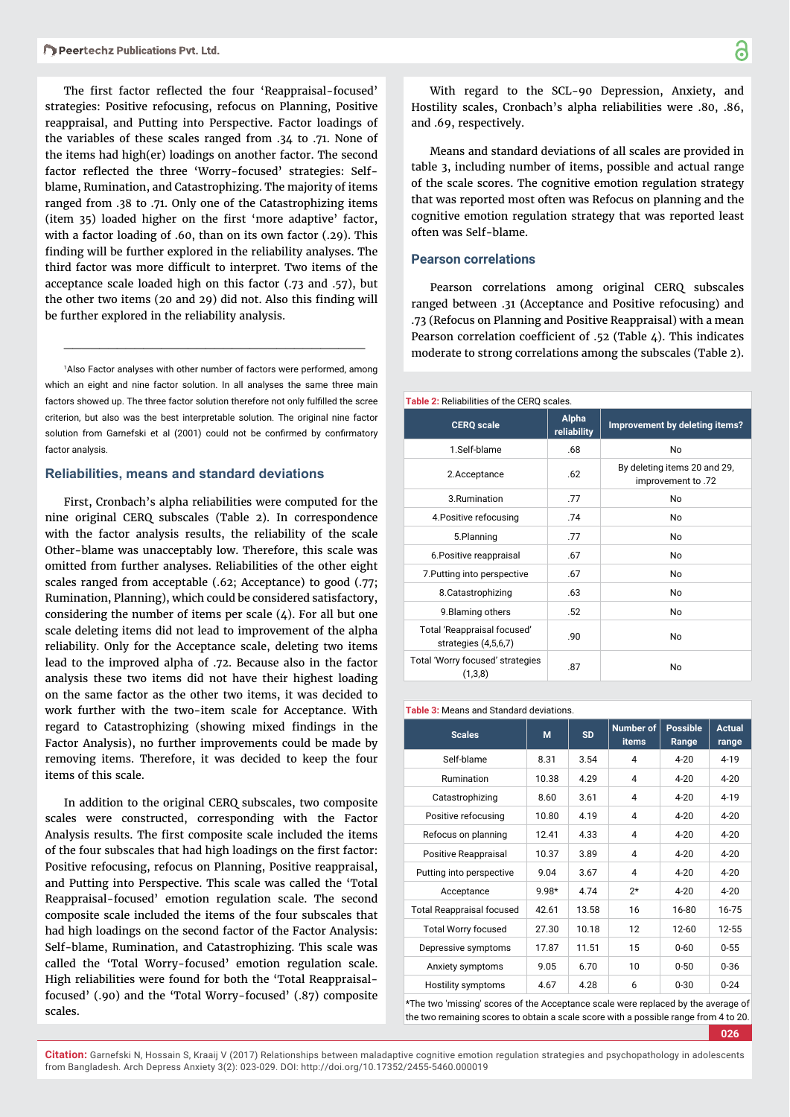The first factor reflected the four 'Reappraisal-focused' strategies: Positive refocusing, refocus on Planning, Positive reappraisal, and Putting into Perspective. Factor loadings of the variables of these scales ranged from .34 to .71. None of the items had high(er) loadings on another factor. The second factor reflected the three 'Worry-focused' strategies: Selfblame, Rumination, and Catastrophizing. The majority of items ranged from .38 to .71. Only one of the Catastrophizing items (item 35) loaded higher on the first 'more adaptive' factor, with a factor loading of .60, than on its own factor (.29). This finding will be further explored in the reliability analyses. The third factor was more difficult to interpret. Two items of the acceptance scale loaded high on this factor (.73 and .57), but the other two items (20 and 29) did not. Also this finding will be further explored in the reliability analysis.

1 Also Factor analyses with other number of factors were performed, among which an eight and nine factor solution. In all analyses the same three main factors showed up. The three factor solution therefore not only fulfilled the scree criterion, but also was the best interpretable solution. The original nine factor solution from Garnefski et al (2001) could not be confirmed by confirmatory factor analysis.

\_\_\_\_\_\_\_\_\_\_\_\_\_\_\_\_\_\_\_\_\_\_\_\_\_\_\_\_\_\_\_\_\_\_

## **Reliabilities, means and standard deviations**

First, Cronbach's alpha reliabilities were computed for the nine original CERQ subscales (Table 2). In correspondence with the factor analysis results, the reliability of the scale Other-blame was unacceptably low. Therefore, this scale was omitted from further analyses. Reliabilities of the other eight scales ranged from acceptable (.62; Acceptance) to good (.77; Rumination, Planning), which could be considered satisfactory, considering the number of items per scale  $(4)$ . For all but one scale deleting items did not lead to improvement of the alpha reliability. Only for the Acceptance scale, deleting two items lead to the improved alpha of .72. Because also in the factor analysis these two items did not have their highest loading on the same factor as the other two items, it was decided to work further with the two-item scale for Acceptance. With regard to Catastrophizing (showing mixed findings in the Factor Analysis), no further improvements could be made by removing items. Therefore, it was decided to keep the four items of this scale.

In addition to the original CERQ subscales, two composite scales were constructed, corresponding with the Factor Analysis results. The first composite scale included the items of the four subscales that had high loadings on the first factor: Positive refocusing, refocus on Planning, Positive reappraisal, and Putting into Perspective. This scale was called the 'Total Reappraisal-focused' emotion regulation scale. The second composite scale included the items of the four subscales that had high loadings on the second factor of the Factor Analysis: Self-blame, Rumination, and Catastrophizing. This scale was called the 'Total Worry-focused' emotion regulation scale. High reliabilities were found for both the 'Total Reappraisalfocused' (.90) and the 'Total Worry-focused' (.87) composite scales.

With regard to the SCL-90 Depression, Anxiety, and Hostility scales, Cronbach's alpha reliabilities were .80, .86, and .69, respectively.

Means and standard deviations of all scales are provided in table 3, including number of items, possible and actual range of the scale scores. The cognitive emotion regulation strategy that was reported most often was Refocus on planning and the cognitive emotion regulation strategy that was reported least often was Self-blame.

#### **Pearson correlations**

Pearson correlations among original CERQ subscales ranged between .31 (Acceptance and Positive refocusing) and .73 (Refocus on Planning and Positive Reappraisal) with a mean Pearson correlation coefficient of .52 (Table 4). This indicates moderate to strong correlations among the subscales (Table 2).

#### **Table 2:** Reliabilities of the CERQ scales.

| <b>CERQ</b> scale                                   | Alpha<br>reliability | Improvement by deleting items?                     |
|-----------------------------------------------------|----------------------|----------------------------------------------------|
| 1.Self-blame                                        | .68                  | No                                                 |
| 2.Acceptance                                        | .62                  | By deleting items 20 and 29,<br>improvement to .72 |
| 3.Rumination                                        | .77                  | No                                                 |
| 4. Positive refocusing                              | .74                  | No                                                 |
| 5.Planning                                          | .77                  | No                                                 |
| 6. Positive reappraisal                             | .67                  | No.                                                |
| 7. Putting into perspective                         | .67                  | No                                                 |
| 8. Catastrophizing                                  | .63                  | No                                                 |
| 9. Blaming others                                   | .52                  | No                                                 |
| Total 'Reappraisal focused'<br>strategies (4,5,6,7) | .90                  | <b>No</b>                                          |
| Total 'Worry focused' strategies<br>(1,3,8)         | .87                  | No                                                 |

#### **Table 3:** Means and Standard deviations.

| <b>Scales</b>                    | M       | <b>SD</b> | <b>Number of</b><br><b>items</b> | <b>Possible</b><br>Range | <b>Actual</b><br>range |
|----------------------------------|---------|-----------|----------------------------------|--------------------------|------------------------|
| Self-blame                       | 8.31    | 3.54      | 4                                | $4 - 20$                 | $4 - 19$               |
| Rumination                       | 10.38   | 4.29      | 4                                | $4 - 20$                 | $4 - 20$               |
| Catastrophizing                  | 8.60    | 3.61      | 4                                | $4 - 20$                 | $4 - 19$               |
| Positive refocusing              | 10.80   | 4.19      | 4                                | $4 - 20$                 | $4 - 20$               |
| Refocus on planning              | 1241    | 4.33      | 4                                | $4 - 20$                 | $4 - 20$               |
| Positive Reappraisal             | 10.37   | 3.89      | 4                                | $4 - 20$                 | $4 - 20$               |
| Putting into perspective         | 9.04    | 3.67      | 4                                | $4 - 20$                 | $4 - 20$               |
| Acceptance                       | $9.98*$ | 474       | $2*$                             | $4 - 20$                 | $4 - 20$               |
| <b>Total Reappraisal focused</b> | 42 61   | 13.58     | 16                               | 16-80                    | 16-75                  |
| <b>Total Worry focused</b>       | 27.30   | 10.18     | 12                               | $12 - 60$                | 12-55                  |
| Depressive symptoms              | 17.87   | 11.51     | 15                               | $0 - 60$                 | $0 - 55$               |
| Anxiety symptoms                 | 9.05    | 6.70      | 10                               | $0 - 50$                 | $0 - 36$               |
| Hostility symptoms               | 4.67    | 4.28      | 6                                | $0 - 30$                 | $0 - 24$               |

\*The two 'missing' scores of the Acceptance scale were replaced by the average of the two remaining scores to obtain a scale score with a possible range from 4 to 20.

**026**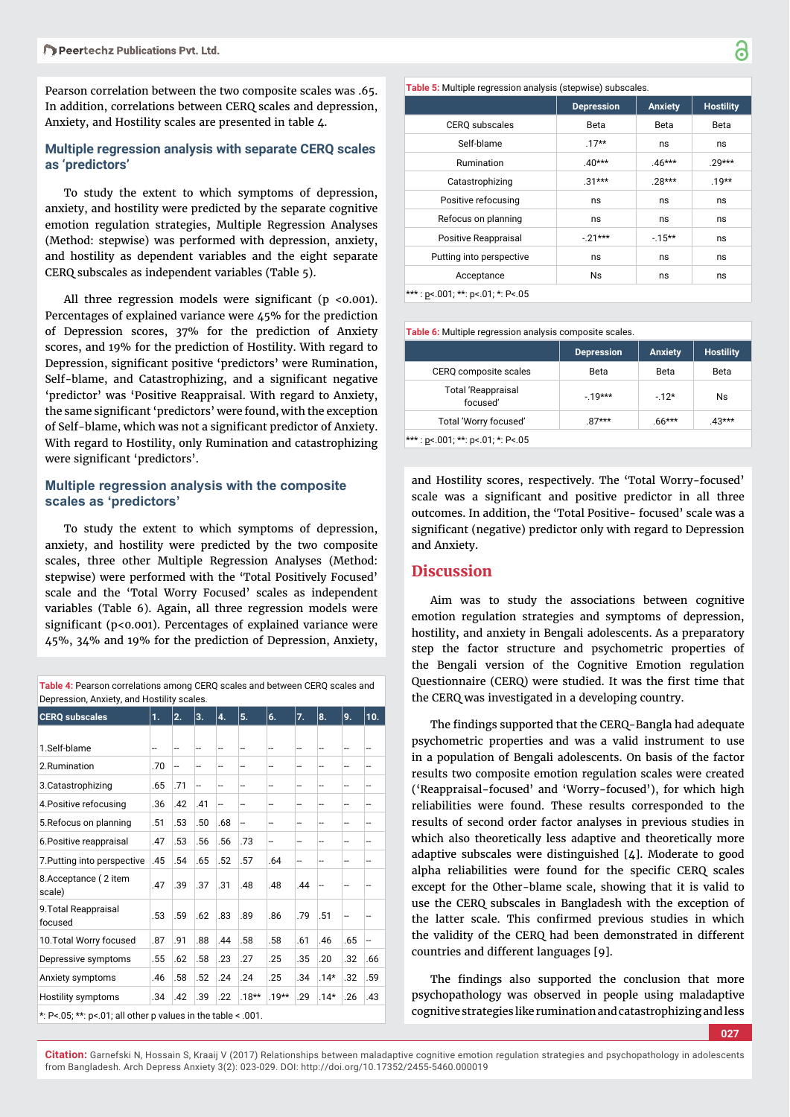Pearson correlation between the two composite scales was .65. In addition, correlations between CERQ scales and depression, Anxiety, and Hostility scales are presented in table 4.

# **Multiple regression analysis with separate CERQ scales as 'predictors'**

To study the extent to which symptoms of depression, anxiety, and hostility were predicted by the separate cognitive emotion regulation strategies, Multiple Regression Analyses (Method: stepwise) was performed with depression, anxiety, and hostility as dependent variables and the eight separate CERQ subscales as independent variables (Table 5).

All three regression models were significant ( $p < 0.001$ ). Percentages of explained variance were 45% for the prediction of Depression scores, 37% for the prediction of Anxiety scores, and 19% for the prediction of Hostility. With regard to Depression, significant positive 'predictors' were Rumination, Self-blame, and Catastrophizing, and a significant negative 'predictor' was 'Positive Reappraisal. With regard to Anxiety, the same significant 'predictors' were found, with the exception of Self-blame, which was not a significant predictor of Anxiety. With regard to Hostility, only Rumination and catastrophizing were significant 'predictors'.

# **Multiple regression analysis with the composite scales as 'predictors'**

To study the extent to which symptoms of depression, anxiety, and hostility were predicted by the two composite scales, three other Multiple Regression Analyses (Method: stepwise) were performed with the 'Total Positively Focused' scale and the 'Total Worry Focused' scales as independent variables (Table 6). Again, all three regression models were significant ( $p$ <0.001). Percentages of explained variance were 45%, 34% and 19% for the prediction of Depression, Anxiety,

| Table 4: Pearson correlations among CERQ scales and between CERQ scales and |
|-----------------------------------------------------------------------------|
| Depression, Anxiety, and Hostility scales.                                  |

| <b>CERQ subscales</b>                                                                                                                                                                                                                                                                            | 1.  | 2.                       | 3.  | 4.  | 5.                   | 6.      | 7.  | 8.     | 9.  | 10. |
|--------------------------------------------------------------------------------------------------------------------------------------------------------------------------------------------------------------------------------------------------------------------------------------------------|-----|--------------------------|-----|-----|----------------------|---------|-----|--------|-----|-----|
|                                                                                                                                                                                                                                                                                                  |     |                          |     |     |                      |         |     |        |     |     |
| 1.Self-blame                                                                                                                                                                                                                                                                                     | --  | $\overline{\phantom{a}}$ | --  | --  | --                   |         |     | --     | --  | --  |
| 2.Rumination                                                                                                                                                                                                                                                                                     | .70 | --                       | --  | --  | --                   | --      | --  | --     | --  | --  |
| 3. Catastrophizing                                                                                                                                                                                                                                                                               | .65 | .71                      | --  | --  | --                   | --      |     | --     | --  | --  |
| 4. Positive refocusing                                                                                                                                                                                                                                                                           | .36 | .42                      | .41 | --  | --                   | --      | --  | --     | --  | --  |
| 5. Refocus on planning                                                                                                                                                                                                                                                                           | .51 | .53                      | .50 | .68 | --                   | --      | --  | --     | --  | --  |
| 6. Positive reappraisal                                                                                                                                                                                                                                                                          | .47 | .53                      | .56 | .56 | .73                  | ÷-      | --  | --     | --  | --  |
| 7. Putting into perspective                                                                                                                                                                                                                                                                      | .45 | .54                      | .65 | .52 | .57                  | .64     | --  | --     |     | --  |
| 8. Acceptance (2 item<br>scale)                                                                                                                                                                                                                                                                  | .47 | .39                      | .37 | .31 | .48                  | .48     | .44 |        |     |     |
| 9. Total Reappraisal<br>focused                                                                                                                                                                                                                                                                  | .53 | .59                      | .62 | .83 | .89                  | .86     | .79 | .51    |     |     |
| 10. Total Worry focused                                                                                                                                                                                                                                                                          | .87 | .91                      | .88 | .44 | .58                  | .58     | .61 | .46    | .65 | --  |
| Depressive symptoms                                                                                                                                                                                                                                                                              | .55 | .62                      | .58 | .23 | .27                  | .25     | .35 | .20    | .32 | .66 |
| Anxiety symptoms                                                                                                                                                                                                                                                                                 | .46 | .58                      | .52 | .24 | .24                  | .25     | .34 | $.14*$ | .32 | .59 |
| Hostility symptoms                                                                                                                                                                                                                                                                               | .34 | .42                      | .39 | .22 | $.18**$              | $.19**$ | .29 | $.14*$ | .26 | .43 |
| $\mathbf{r}$ . A set $\mathbf{r}$ and $\mathbf{r}$ and $\mathbf{r}$ and $\mathbf{r}$ and $\mathbf{r}$ and $\mathbf{r}$ and $\mathbf{r}$ and $\mathbf{r}$ and $\mathbf{r}$ and $\mathbf{r}$ and $\mathbf{r}$ and $\mathbf{r}$ and $\mathbf{r}$ and $\mathbf{r}$ and $\mathbf{r}$ and $\mathbf{r}$ |     |                          |     |     | $\sim$ $\sim$ $\sim$ |         |     |        |     |     |

 $*$ : P<.05:  $**$ : p<.01: all other p values in the table < .001.

|                          | <b>Depression</b> | <b>Anxiety</b> | <b>Hostility</b> |
|--------------------------|-------------------|----------------|------------------|
| <b>CERQ</b> subscales    | Beta              | Beta           | Beta             |
| Self-blame               | $.17**$           | ns             | ns               |
| Rumination               | $.40***$          | $.46***$       | $.29***$         |
| Catastrophizing          | $.31***$          | $28***$        | $.19**$          |
| Positive refocusing      | ns                | ns             | ns               |
| Refocus on planning      | ns                | ns             | ns               |
| Positive Reappraisal     | $-21***$          | $-15***$       | ns               |
| Putting into perspective | ns                | ns             | ns               |
| Acceptance               | <b>Ns</b>         | ns             | ns               |

\*\*\* : p<.001; \*\*: p<.01; \*: P<.05

| Table 6: Multiple regression analysis composite scales. |                   |                |                  |  |  |  |
|---------------------------------------------------------|-------------------|----------------|------------------|--|--|--|
|                                                         | <b>Depression</b> | <b>Anxiety</b> | <b>Hostility</b> |  |  |  |
| CERQ composite scales                                   | Beta              | Beta           | Beta             |  |  |  |
| <b>Total 'Reappraisal</b><br>focused'                   | $-19***$          | $-12*$         | Ns               |  |  |  |
| Total 'Worry focused'                                   | $87***$           | $.66***$       | 43***            |  |  |  |
| $\mathcal{L}$                                           |                   |                |                  |  |  |  |

\*\*\* : p<.001; \*\*: p<.01; \*: P<.05

and Hostility scores, respectively. The 'Total Worry-focused' scale was a significant and positive predictor in all three outcomes. In addition, the 'Total Positive- focused' scale was a significant (negative) predictor only with regard to Depression and Anxiety.

# **Discussion**

Aim was to study the associations between cognitive emotion regulation strategies and symptoms of depression, hostility, and anxiety in Bengali adolescents. As a preparatory step the factor structure and psychometric properties of the Bengali version of the Cognitive Emotion regulation Questionnaire (CERQ) were studied. It was the first time that the CERQ was investigated in a developing country.

The findings supported that the CERQ-Bangla had adequate psychometric properties and was a valid instrument to use in a population of Bengali adolescents. On basis of the factor results two composite emotion regulation scales were created ('Reappraisal-focused' and 'Worry-focused'), for which high reliabilities were found. These results corresponded to the results of second order factor analyses in previous studies in which also theoretically less adaptive and theoretically more adaptive subscales were distinguished [4]. Moderate to good alpha reliabilities were found for the specific CERQ scales except for the Other-blame scale, showing that it is valid to use the CERQ subscales in Bangladesh with the exception of the latter scale. This confirmed previous studies in which the validity of the CERQ had been demonstrated in different countries and different languages [9].

The findings also supported the conclusion that more psychopathology was observed in people using maladaptive cognitive strategies like rumination and catastrophizing and less

**027**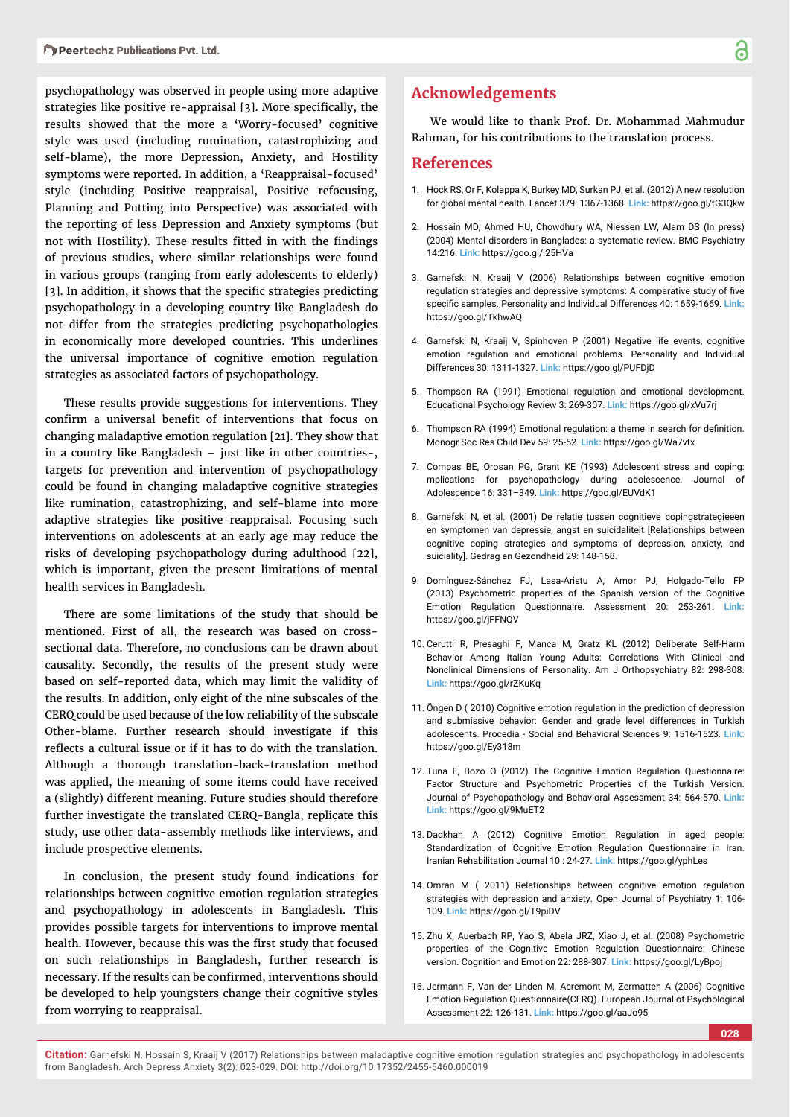psychopathology was observed in people using more adaptive strategies like positive re-appraisal [3]. More specifically, the results showed that the more a 'Worry-focused' cognitive style was used (including rumination, catastrophizing and self-blame), the more Depression, Anxiety, and Hostility symptoms were reported. In addition, a 'Reappraisal-focused' style (including Positive reappraisal, Positive refocusing, Planning and Putting into Perspective) was associated with the reporting of less Depression and Anxiety symptoms (but not with Hostility). These results fitted in with the findings of previous studies, where similar relationships were found in various groups (ranging from early adolescents to elderly) [3]. In addition, it shows that the specific strategies predicting psychopathology in a developing country like Bangladesh do not differ from the strategies predicting psychopathologies in economically more developed countries. This underlines the universal importance of cognitive emotion regulation strategies as associated factors of psychopathology.

These results provide suggestions for interventions. They confirm a universal benefit of interventions that focus on changing maladaptive emotion regulation [21]. They show that in a country like Bangladesh – just like in other countries-, targets for prevention and intervention of psychopathology could be found in changing maladaptive cognitive strategies like rumination, catastrophizing, and self-blame into more adaptive strategies like positive reappraisal. Focusing such interventions on adolescents at an early age may reduce the risks of developing psychopathology during adulthood [22], which is important, given the present limitations of mental health services in Bangladesh.

There are some limitations of the study that should be mentioned. First of all, the research was based on crosssectional data. Therefore, no conclusions can be drawn about causality. Secondly, the results of the present study were based on self-reported data, which may limit the validity of the results. In addition, only eight of the nine subscales of the CERQ could be used because of the low reliability of the subscale Other-blame. Further research should investigate if this reflects a cultural issue or if it has to do with the translation. Although a thorough translation-back-translation method was applied, the meaning of some items could have received a (slightly) different meaning. Future studies should therefore further investigate the translated CERQ-Bangla, replicate this study, use other data-assembly methods like interviews, and include prospective elements.

In conclusion, the present study found indications for relationships between cognitive emotion regulation strategies and psychopathology in adolescents in Bangladesh. This provides possible targets for interventions to improve mental health. However, because this was the first study that focused on such relationships in Bangladesh, further research is necessary. If the results can be confirmed, interventions should be developed to help youngsters change their cognitive styles from worrying to reappraisal.

# **Acknowledgements**

We would like to thank Prof. Dr. Mohammad Mahmudur Rahman, for his contributions to the translation process.

#### **References**

- 1. Hock RS, Or F, Kolappa K, Burkey MD, Surkan PJ, et al. (2012) A new resolution for global mental health. Lancet 379: 1367-1368. **Link:** https://goo.gl/tG3Qkw
- 2. Hossain MD, Ahmed HU, Chowdhury WA, Niessen LW, Alam DS (In press) (2004) Mental disorders in Banglades: a systematic review. BMC Psychiatry 14:216. **Link:** https://goo.gl/i25HVa
- 3. Garnefski N, Kraaij V (2006) Relationships between cognitive emotion regulation strategies and depressive symptoms: A comparative study of five specific samples. Personality and Individual Differences 40: 1659-1669. Link: https://goo.gl/TkhwAQ
- 4. Garnefski N, Kraaij V, Spinhoven P (2001) Negative life events, cognitive emotion regulation and emotional problems. Personality and Individual Differences 30: 1311-1327. **Link:** https://goo.gl/PUFDjD
- 5. Thompson RA (1991) Emotional regulation and emotional development. Educational Psychology Review 3: 269-307. **Link:** https://goo.gl/xVu7rj
- 6. Thompson RA (1994) Emotional regulation: a theme in search for definition. Monogr Soc Res Child Dev 59: 25-52. **Link:** https://goo.gl/Wa7vtx
- 7. Compas BE, Orosan PG, Grant KE (1993) Adolescent stress and coping: mplications for psychopathology during adolescence. Journal of Adolescence 16: 331–349. **Link:** https://goo.gl/EUVdK1
- 8. Garnefski N, et al. (2001) De relatie tussen cognitieve copingstrategieeen en symptomen van depressie, angst en suicidaliteit [Relationships between cognitive coping strategies and symptoms of depression, anxiety, and suiciality]. Gedrag en Gezondheid 29: 148-158.
- 9. Domínguez-Sánchez FJ, Lasa-Aristu A, Amor PJ, Holgado-Tello FP (2013) Psychometric properties of the Spanish version of the Cognitive Emotion Regulation Questionnaire. Assessment 20: 253-261. **Link:** https://goo.gl/jFFNQV
- 10. Cerutti R, Presaghi F, Manca M, Gratz KL (2012) Deliberate Self-Harm Behavior Among Italian Young Adults: Correlations With Clinical and Nonclinical Dimensions of Personality. Am J Orthopsychiatry 82: 298-308. **Link:** https://goo.gl/rZKuKq
- 11. Öngen D ( 2010) Cognitive emotion regulation in the prediction of depression and submissive behavior: Gender and grade level differences in Turkish adolescents. Procedia - Social and Behavioral Sciences 9: 1516-1523. **Link:** https://goo.gl/Ey318m
- 12. Tuna E, Bozo O (2012) The Cognitive Emotion Regulation Questionnaire: Factor Structure and Psychometric Properties of the Turkish Version. Journal of Psychopathology and Behavioral Assessment 34: 564-570. **Link: Link:** https://goo.gl/9MuET2
- 13. Dadkhah A (2012) Cognitive Emotion Regulation in aged people: Standardization of Cognitive Emotion Regulation Questionnaire in Iran. Iranian Rehabilitation Journal 10 : 24-27. **Link:** https://goo.gl/yphLes
- 14. Omran M ( 2011) Relationships between cognitive emotion regulation strategies with depression and anxiety. Open Journal of Psychiatry 1: 106- 109. **Link:** https://goo.gl/T9piDV
- 15. Zhu X, Auerbach RP, Yao S, Abela JRZ, Xiao J, et al. (2008) Psychometric properties of the Cognitive Emotion Regulation Questionnaire: Chinese version. Cognition and Emotion 22: 288-307. **Link:** https://goo.gl/LyBpoj
- 16. Jermann F, Van der Linden M, Acremont M, Zermatten A (2006) Cognitive Emotion Regulation Questionnaire(CERQ). European Journal of Psychological Assessment 22: 126-131. **Link:** https://goo.gl/aaJo95

**028**